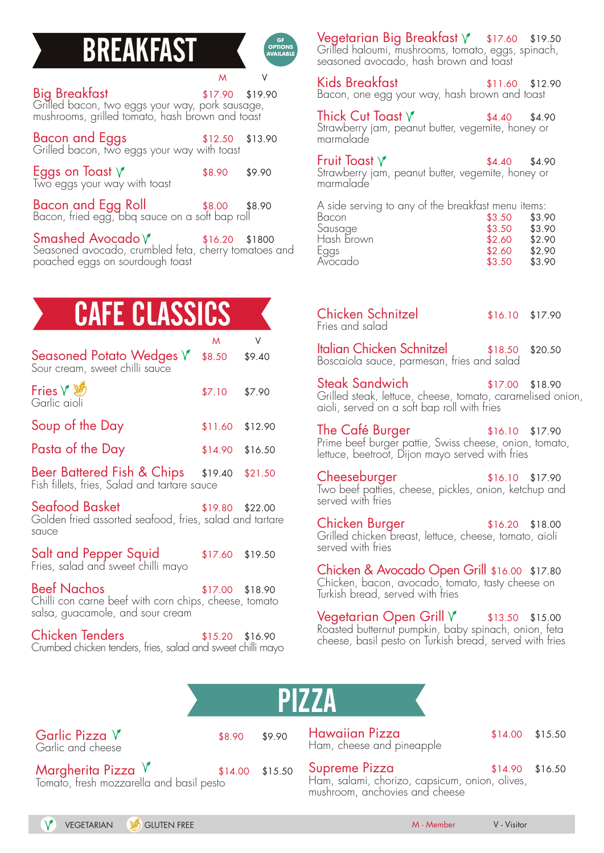#### **BREAKFAST**

**GF OPTIONS AVAILABLE**

| 817.90 \$17.90<br>Grilled bacon, two eggs your way, pork sausage,<br>mushrooms, grilled tomato, hash brown and toast | \$17.90 \$19.90   |  |
|----------------------------------------------------------------------------------------------------------------------|-------------------|--|
| <b>Bacon and Eggs</b> \$12.50<br>Grilled bacon, two eggs your way with toast                                         | $$12.50$ $$13.90$ |  |
| <b>Eggs on Toast</b> $\sqrt{\ }$ Two eggs your way with toast                                                        | \$8.90 \$9.90     |  |
| Bacon and Egg Roll \$8.00 \$8.90<br>Bacon, fried egg, bbq sauce on a soft bap roll                                   |                   |  |

 $S$ mashed Avocado  $\sqrt{}$  \$16.20 \$1800 Seasoned avocado, crumbled feta, cherry tomatoes and poached eggs on sourdough toast

# **CAFE CLASSI**

|                                                                                                                 | M                 |         |
|-----------------------------------------------------------------------------------------------------------------|-------------------|---------|
| Seasoned Potato Wedges $\operatorname{\mathsf{V}}$<br>Sour cream, sweet chilli sauce                            | \$8.50            | \$9.40  |
| Garlic aioli                                                                                                    | \$7.10            | \$7.90  |
| Soup of the Day                                                                                                 | $$11.60$ $$12.90$ |         |
| Pasta of the Day                                                                                                | \$14.90           | \$16.50 |
| Beer Battered Fish & Chips \$19.40<br>Fish fillets, fries, Salad and tartare sauce                              |                   | \$21.50 |
| Seafood Basket<br>Golden fried assorted seafood, fries, salad and tartare<br>sauce                              | \$19.80 \$22.00   |         |
| <mark>Salt and Pepper Squid</mark><br>Fries, salad and sweet chilli mayo                                        | \$17.60 \$19.50   |         |
| <b>Beef Nachos</b><br>Chilli con carne beef with corn chips, cheese, tomato<br>salsa, guacamole, and sour cream | \$17.00 \$18.90   |         |
| <b>Chicken Tenders</b><br>Crumbed chicken tenders, fries, salad and sweet chilli mayo                           | $$15.20$ $$16.90$ |         |
|                                                                                                                 |                   |         |
|                                                                                                                 |                   |         |

Vegetarian Big Breakfast  $\sqrt{ }$  \$17.60 \$19.50 Grilled haloumi, mushrooms, tomato, eggs, spinach, seasoned avocado, hash brown and toast

Kids Breakfast **\$11.60** \$12.90 Bacon, one egg your way, hash brown and toast

Thick Cut Toast  $\sqrt{\ }$  \$4.40 \$4.90 Strawberry jam, peanut butter, vegemite, honey or marmalade

Fruit Toast  $\sqrt{}$  \$4.40 \$4.90 Strawberry jam, peanut butter, vegemite, honey or marmalade

| A side serving to any of the breakfast menu items: |        |        |
|----------------------------------------------------|--------|--------|
| Bacon                                              | \$3.50 | \$3.90 |
| Sausage                                            | \$3.50 | \$3.90 |
| Hash brown                                         | \$2.60 | \$2.90 |
| Eggs                                               | \$2.60 | \$2.90 |
| Avocado                                            | \$3.50 | \$3.90 |

| Chicken Schnitzel<br>Fries and salad                                                                                                                   | $$16.10$ $$17.90$ |  |
|--------------------------------------------------------------------------------------------------------------------------------------------------------|-------------------|--|
| Italian Chicken Schnitzel \$18.50 \$20.50<br>Boscaiola sauce, parmesan, fries and salad                                                                |                   |  |
| <b>Steak Sandwich</b><br>$$17.00$ \$18.90<br>Grilled steak, lettuce, cheese, tomato, caramelised onion,<br>aioli, served on a soft bap roll with fries |                   |  |
| The Café Burger<br>$$16.10$ \$17.90<br>Prime beef burger pattie, Swiss cheese, onion, tomato,<br>lettuce, beetroot, Dijon mayo served with fries       |                   |  |
| Cheeseburger<br>$$16.10$ $$17.90$<br>Two beef patties, cheese, pickles, onion, ketchup and<br>served with fries                                        |                   |  |
| Chicken Burger<br>$$16.20$ \$18.00<br>Grilled chicken breast, lettuce, cheese, tomato, aioli<br>served with fries                                      |                   |  |

Chicken & Avocado Open Grill \$16.00 \$17.80 Chicken, bacon, avocado, tomato, tasty cheese on Turkish bread, served with fries

Vegetarian Open Grill  $\sqrt[3]{}$  \$13.50 \$15.00 Roasted butternut pumpkin, baby spinach, onion, feta cheese, basil pesto on Turkish bread, served with fries



| Garlic Pizza V<br>Garlic and cheese                                                 | \$8.90 \$9.90 | Hawaii<br>Ham, che                     |
|-------------------------------------------------------------------------------------|---------------|----------------------------------------|
| <b>Margherita Pizza</b> $\sqrt{\ }$ \$1<br>Tomato, fresh mozzarella and basil pesto |               | \$14.00 \$15.50 Suprem<br>sto Ham, sak |

an Pizza  $$14.00$  \$15.50 eese and pineapple

e Pizza  $$14.90$  \$16.50 ami, chorizo, capsicum, onion, olives, mushroom, anchovies and cheese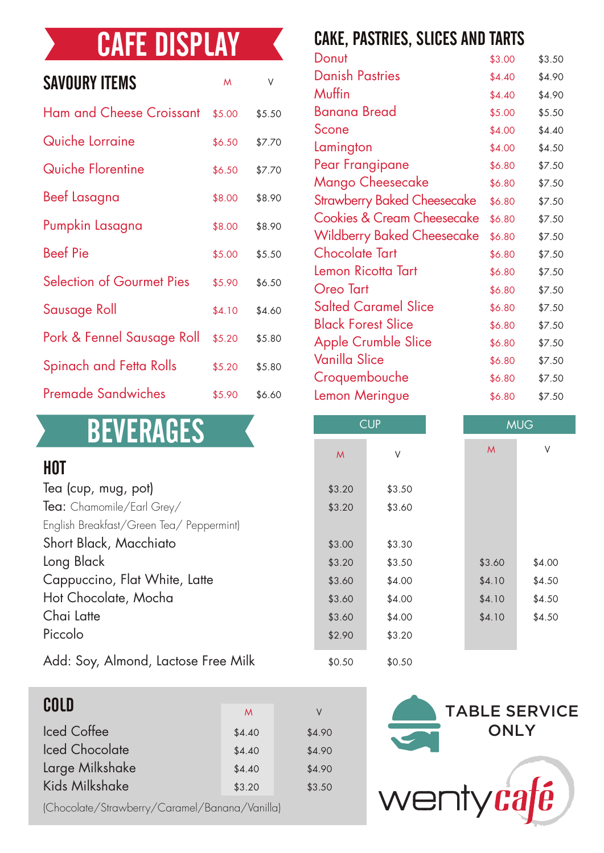#### CAFE DISPLAY

| <b>SAVOURY ITEMS</b>             | $\mathsf{M}$ | ٧      |
|----------------------------------|--------------|--------|
| <b>Ham and Cheese Croissant</b>  | \$5.00       | \$5.50 |
| Quiche Lorraine                  | \$6.50       | \$7.70 |
| Quiche Florentine                | \$6.50       | \$7.70 |
| Beef Lasagna                     | \$8.00       | \$8.90 |
| Pumpkin Lasagna                  | \$8.00       | \$8.90 |
| <b>Beef Pie</b>                  | \$5.00       | \$5.50 |
| <b>Selection of Gourmet Pies</b> | \$5.90       | \$6.50 |
| Sausage Roll                     | \$4.10       | \$4.60 |
| Pork & Fennel Sausage Roll       | \$5.20       | \$5.80 |
| Spinach and Fetta Rolls          | \$5.20       | \$5.80 |
| Premade Sandwiches               | \$5.90       | \$6.60 |

#### **BEVERAGES**

#### HOT

| Tea (cup, mug, pot)                      | \$3.20 | \$3.50 |
|------------------------------------------|--------|--------|
| Tea: Chamomile/Earl Grey/                | \$3.20 | \$3.60 |
| English Breakfast/Green Tea/ Peppermint) |        |        |
| Short Black, Macchiato                   | \$3.00 | \$3.30 |
| Long Black                               | \$3.20 | \$3.50 |
| Cappuccino, Flat White, Latte            | \$3.60 | \$4.00 |
| Hot Chocolate, Mocha                     | \$3.60 | \$4.00 |
| Chai Latte                               | \$3.60 | \$4.00 |
| Piccolo                                  | \$2.90 | \$3.20 |
|                                          |        |        |

Add: Soy, Almond, Lactose Free Milk

| COLD                  | M      | V      |
|-----------------------|--------|--------|
| <b>Iced Coffee</b>    | \$4.40 | \$4.90 |
| <b>Iced Chocolate</b> | \$4.40 | \$4.90 |
| Large Milkshake       | \$4.40 | \$4.90 |
| <b>Kids Milkshake</b> | \$3.20 | \$3.50 |

(Chocolate/Strawberry/Caramel/Banana/Vanilla)

#### CAKE, PASTRIES, SLICES AND TARTS

| Donut                                 | \$3.00 | \$3.50 |
|---------------------------------------|--------|--------|
| <b>Danish Pastries</b>                | \$4.40 | \$4.90 |
| Muffin                                | \$4.40 | \$4.90 |
| <b>Banana Bread</b>                   | \$5.00 | \$5.50 |
| Scone                                 | \$4.00 | \$4.40 |
| Lamington                             | \$4.00 | \$4.50 |
| Pear Frangipane                       | \$6.80 | \$7.50 |
| Mango Cheesecake                      | \$6.80 | \$7.50 |
| <b>Strawberry Baked Cheesecake</b>    | \$6.80 | \$7.50 |
| <b>Cookies &amp; Cream Cheesecake</b> | \$6.80 | \$7.50 |
| <b>Wildberry Baked Cheesecake</b>     | \$6.80 | \$7.50 |
| <b>Chocolate Tart</b>                 | \$6.80 | \$7.50 |
| Lemon Ricotta Tart                    | \$6.80 | \$7.50 |
| Oreo Tart                             | \$6.80 | \$7.50 |
| <b>Salted Caramel Slice</b>           | \$6.80 | \$7.50 |
| <b>Black Forest Slice</b>             | \$6.80 | \$7.50 |
| <b>Apple Crumble Slice</b>            | \$6.80 | \$7.50 |
| Vanilla Slice                         | \$6.80 | \$7.50 |
| Croquembouche                         | \$6.80 | \$7.50 |
| Lemon Meringue                        | \$6.80 | \$7.50 |
|                                       |        |        |

| <b>BEVERAGES</b>                         |        | <b>CUP</b> |              | <b>MUG</b> |
|------------------------------------------|--------|------------|--------------|------------|
|                                          | M      | ٧          | $\mathsf{M}$ | V          |
| HOT                                      |        |            |              |            |
| Tea (cup, mug, pot)                      | \$3.20 | \$3.50     |              |            |
| $\textsf{Tea:}$ Chamomile/Earl Grey/     | \$3.20 | \$3.60     |              |            |
| English Breakfast/Green Tea/ Peppermint) |        |            |              |            |
| Short Black, Macchiato                   | \$3.00 | \$3.30     |              |            |
| Long Black                               | \$3.20 | \$3.50     | \$3.60       | \$4.00     |
| Cappuccino, Flat White, Latte            | \$3.60 | \$4.00     | \$4.10       | \$4.50     |
| Hot Chocolate, Mocha                     | \$3.60 | \$4.00     | \$4.10       | \$4.50     |
| Chai Latte                               | \$3.60 | \$4.00     | \$4.10       | \$4.50     |
| Piccolo                                  | \$2.90 | \$3.20     |              |            |
| Add: Sov. Almond. Lactose Free Milk      | \$0,50 | \$0.50     |              |            |